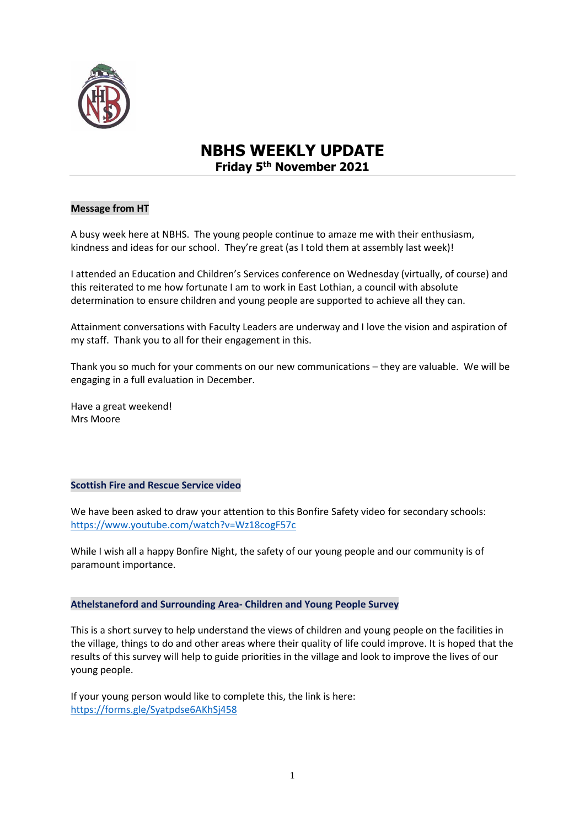

# **NBHS WEEKLY UPDATE Friday 5th November 2021**

# **Message from HT**

A busy week here at NBHS. The young people continue to amaze me with their enthusiasm, kindness and ideas for our school. They're great (as I told them at assembly last week)!

I attended an Education and Children's Services conference on Wednesday (virtually, of course) and this reiterated to me how fortunate I am to work in East Lothian, a council with absolute determination to ensure children and young people are supported to achieve all they can.

Attainment conversations with Faculty Leaders are underway and I love the vision and aspiration of my staff. Thank you to all for their engagement in this.

Thank you so much for your comments on our new communications – they are valuable. We will be engaging in a full evaluation in December.

Have a great weekend! Mrs Moore

#### **Scottish Fire and Rescue Service video**

We have been asked to draw your attention to this Bonfire Safety video for secondary schools: <https://www.youtube.com/watch?v=Wz18cogF57c>

While I wish all a happy Bonfire Night, the safety of our young people and our community is of paramount importance.

**Athelstaneford and Surrounding Area- Children and Young People Survey**

This is a short survey to help understand the views of children and young people on the facilities in the village, things to do and other areas where their quality of life could improve. It is hoped that the results of this survey will help to guide priorities in the village and look to improve the lives of our young people.

If your young person would like to complete this, the link is here: <https://forms.gle/Syatpdse6AKhSj458>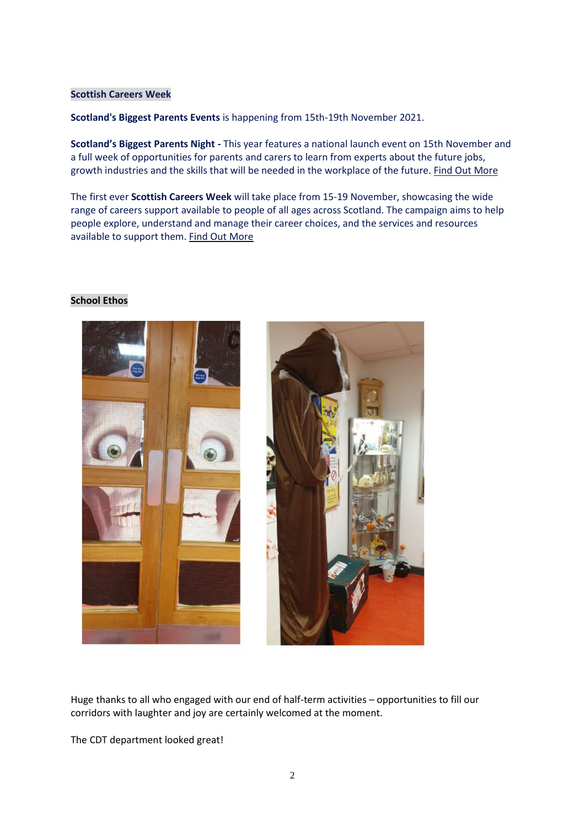## **Scottish Careers Week**

**Scotland's Biggest Parents Events** is happening from 15th-19th November 2021.

**Scotland's Biggest Parents Night -** This year features a national launch event on 15th November and a full week of opportunities for parents and carers to learn from experts about the future jobs, growth industries and the skills that will be needed in the workplace of the future. [Find Out More](https://dyw-edinmideast.us1.list-manage.com/track/click?u=d1965985bd489ab4b47f4f0c0&id=bb997e80b6&e=ef30a83d35)

The first ever **Scottish Careers Week** will take place from 15-19 November, showcasing the wide range of careers support available to people of all ages across Scotland. The campaign aims to help people explore, understand and manage their career choices, and the services and resources available to support them. [Find Out More](https://dyw-edinmideast.us1.list-manage.com/track/click?u=d1965985bd489ab4b47f4f0c0&id=62e2863a58&e=ef30a83d35)

#### **School Ethos**



Huge thanks to all who engaged with our end of half-term activities – opportunities to fill our corridors with laughter and joy are certainly welcomed at the moment.

The CDT department looked great!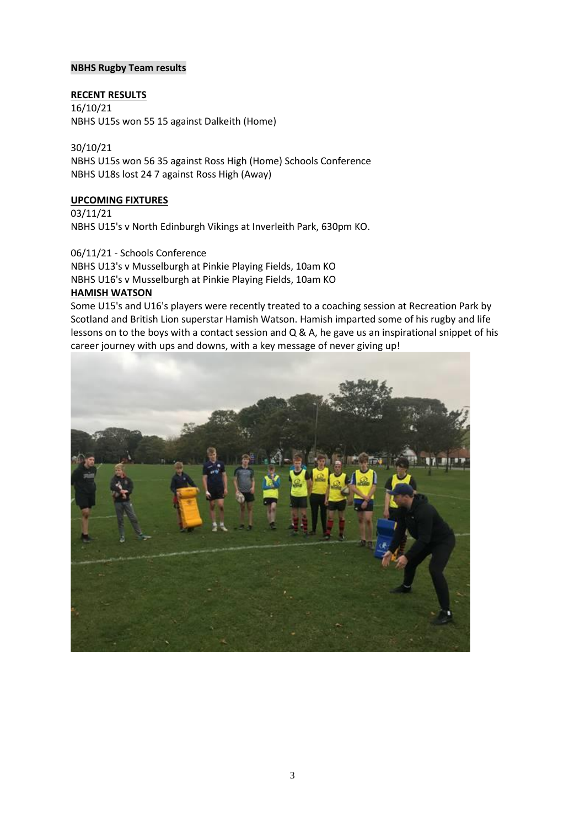## **NBHS Rugby Team results**

# **RECENT RESULTS**

16/10/21 NBHS U15s won 55 15 against Dalkeith (Home)

30/10/21 NBHS U15s won 56 35 against Ross High (Home) Schools Conference NBHS U18s lost 24 7 against Ross High (Away)

# **UPCOMING FIXTURES**

03/11/21 NBHS U15's v North Edinburgh Vikings at Inverleith Park, 630pm KO.

06/11/21 - Schools Conference NBHS U13's v Musselburgh at Pinkie Playing Fields, 10am KO NBHS U16's v Musselburgh at Pinkie Playing Fields, 10am KO **HAMISH WATSON**

Some U15's and U16's players were recently treated to a coaching session at Recreation Park by Scotland and British Lion superstar Hamish Watson. Hamish imparted some of his rugby and life lessons on to the boys with a contact session and Q & A, he gave us an inspirational snippet of his career journey with ups and downs, with a key message of never giving up!

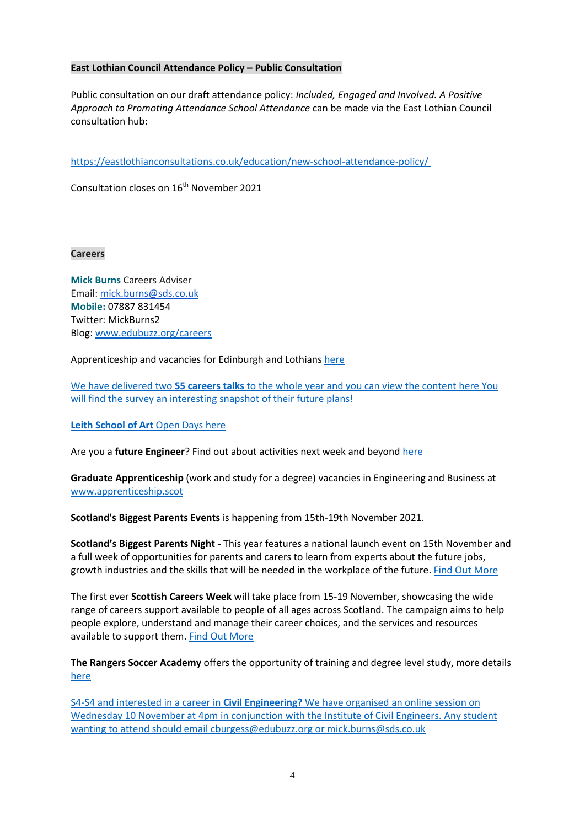## **East Lothian Council Attendance Policy – Public Consultation**

Public consultation on our draft attendance policy: *Included, Engaged and Involved. A Positive Approach to Promoting Attendance School Attendance* can be made via the East Lothian Council consultation hub:

<https://eastlothianconsultations.co.uk/education/new-school-attendance-policy/>

Consultation closes on 16<sup>th</sup> November 2021

**Careers**

**Mick Burns** Careers Adviser Email: [mick.burns@sds.co.uk](https://mail.elcschool.org.uk/owa/redir.aspx?C=fbGa3DGVrsUoQB2CnJP23eXwMGzxu7J1CtarT6dTOwkq_NlpJujXCA..&URL=mailto%3amick.burns%40sds.co.uk) **Mobile:** 07887 831454 Twitter: MickBurns2 Blog: [www.edubuzz.org/careers](http://www.edubuzz.org/careers)

Apprenticeship and vacancies for Edinburgh and Lothians [here](https://www.edubuzz.org/careers/2021/11/02/current-vacancies-in-edinburgh-and-lothians/)

We have delivered two **S5 careers talks** to the whole year and you can view the content [here](https://www.edubuzz.org/careers/2021/10/28/s5-buzz-talk-november-part-2/) You will find the survey an interesting snapshot of their future plans!

#### **Leith School of Art** Open Days [here](https://www.edubuzz.org/careers/2021/10/13/leith-school-of-art/)

Are you a **future Engineer**? Find out about activities next week and beyond [here](https://www.edubuzz.org/careers/2021/10/12/are-you-a-future-engineer/)

**Graduate Apprenticeship** (work and study for a degree) vacancies in Engineering and Business at [www.apprenticeship.scot](http://www.apprenticeship.scot/)

**Scotland's Biggest Parents Events** is happening from 15th-19th November 2021.

**Scotland's Biggest Parents Night -** This year features a national launch event on 15th November and a full week of opportunities for parents and carers to learn from experts about the future jobs, growth industries and the skills that will be needed in the workplace of the future. Find Out [More](https://eur01.safelinks.protection.outlook.com/?url=https%3A%2F%2Fdyw-edinmideast.us1.list-manage.com%2Ftrack%2Fclick%3Fu%3Dd1965985bd489ab4b47f4f0c0%26id%3Dbb997e80b6%26e%3Def30a83d35&data=04%7C01%7Cmick.burns%40sds.co.uk%7C35ddb4b9ff0f4d6a426308d99adf7e19%7C33ca6d475e4f477484f1696cbb508cbe%7C0%7C0%7C637711106945689573%7CUnknown%7CTWFpbGZsb3d8eyJWIjoiMC4wLjAwMDAiLCJQIjoiV2luMzIiLCJBTiI6Ik1haWwiLCJXVCI6Mn0%3D%7C1000&sdata=ThQTQffTRM726KnzBIWFBM38obsxxVxYeMONtZ9yno0%3D&reserved=0)

The first ever **Scottish Careers Week** will take place from 15-19 November, showcasing the wide range of careers support available to people of all ages across Scotland. The campaign aims to help people explore, understand and manage their career choices, and the services and resources available to support them. Find Out [More](https://eur01.safelinks.protection.outlook.com/?url=https%3A%2F%2Fdyw-edinmideast.us1.list-manage.com%2Ftrack%2Fclick%3Fu%3Dd1965985bd489ab4b47f4f0c0%26id%3D62e2863a58%26e%3Def30a83d35&data=04%7C01%7Cmick.burns%40sds.co.uk%7C35ddb4b9ff0f4d6a426308d99adf7e19%7C33ca6d475e4f477484f1696cbb508cbe%7C0%7C0%7C637711106945689573%7CUnknown%7CTWFpbGZsb3d8eyJWIjoiMC4wLjAwMDAiLCJQIjoiV2luMzIiLCJBTiI6Ik1haWwiLCJXVCI6Mn0%3D%7C1000&sdata=OS%2FjnAZ5hSDiK4zfLwihK9WiiaLMJ9nESdQ3G3OxxJM%3D&reserved=0)

**The Rangers Soccer Academy** offers the opportunity of training and degree level study, more details [here](https://www.edubuzz.org/careers/2021/11/02/the-rangers-soccer-academy/)

S4-S4 and interested in a career in **Civil Engineering?** We have organised an online session on Wednesday 10 November at 4pm in conjunction with the Institute of Civil Engineers. Any student wanting to attend should email [cburgess@edubuzz.org](mailto:cburgess@edubuzz.org) or [mick.burns@sds.co.uk](mailto:mick.burns@sds.co.uk)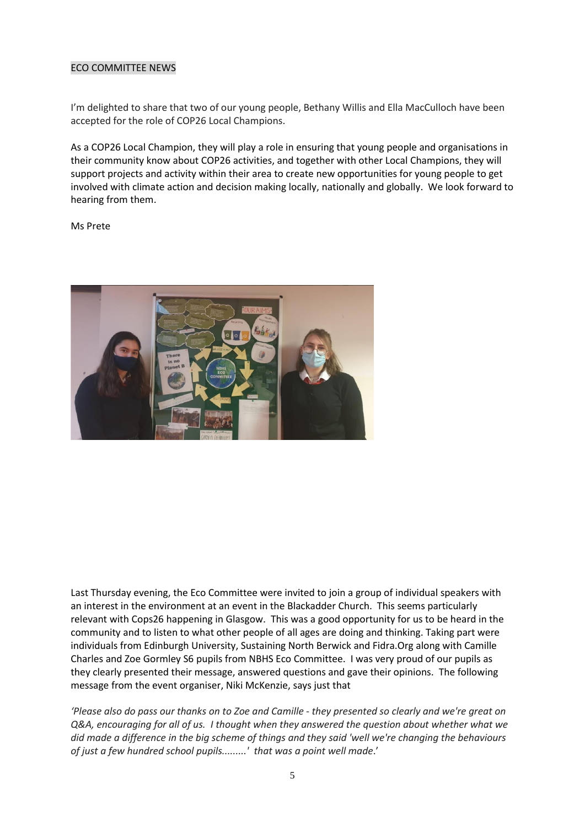## ECO COMMITTEE NEWS

I'm delighted to share that two of our young people, Bethany Willis and Ella MacCulloch have been accepted for the role of COP26 Local Champions.

As a COP26 Local Champion, they will play a role in ensuring that young people and organisations in their community know about COP26 activities, and together with other Local Champions, they will support projects and activity within their area to create new opportunities for young people to get involved with climate action and decision making locally, nationally and globally. We look forward to hearing from them.

Ms Prete



Last Thursday evening, the Eco Committee were invited to join a group of individual speakers with an interest in the environment at an event in the Blackadder Church. This seems particularly relevant with Cops26 happening in Glasgow. This was a good opportunity for us to be heard in the community and to listen to what other people of all ages are doing and thinking. Taking part were individuals from Edinburgh University, Sustaining North Berwick and Fidra.Org along with Camille Charles and Zoe Gormley S6 pupils from NBHS Eco Committee. I was very proud of our pupils as they clearly presented their message, answered questions and gave their opinions. The following message from the event organiser, Niki McKenzie, says just that

*'Please also do pass our thanks on to Zoe and Camille - they presented so clearly and we're great on Q&A, encouraging for all of us. I thought when they answered the question about whether what we did made a difference in the big scheme of things and they said 'well we're changing the behaviours of just a few hundred school pupils.........' that was a point well made*.'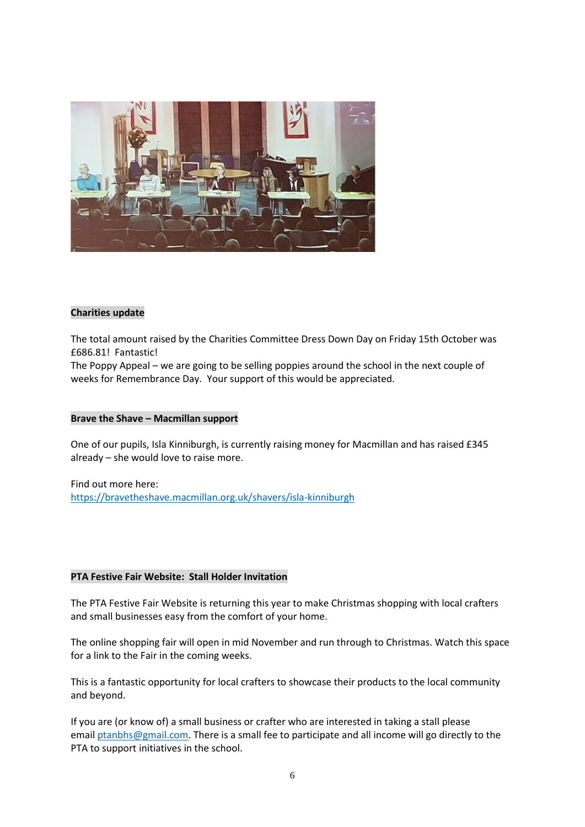

#### **Charities update**

The total amount raised by the Charities Committee Dress Down Day on Friday 15th October was £686.81! Fantastic!

The Poppy Appeal – we are going to be selling poppies around the school in the next couple of weeks for Remembrance Day. Your support of this would be appreciated.

#### **Brave the Shave – Macmillan support**

One of our pupils, Isla Kinniburgh, is currently raising money for Macmillan and has raised £345 already – she would love to raise more.

Find out more here: <https://bravetheshave.macmillan.org.uk/shavers/isla-kinniburgh>

#### **PTA Festive Fair Website: Stall Holder Invitation**

The PTA Festive Fair Website is returning this year to make Christmas shopping with local crafters and small businesses easy from the comfort of your home.

The online shopping fair will open in mid November and run through to Christmas. Watch this space for a link to the Fair in the coming weeks.

This is a fantastic opportunity for local crafters to showcase their products to the local community and beyond.

If you are (or know of) a small business or crafter who are interested in taking a stall please email [ptanbhs@gmail.com.](mailto:ptanbhs@gmail.com) There is a small fee to participate and all income will go directly to the PTA to support initiatives in the school.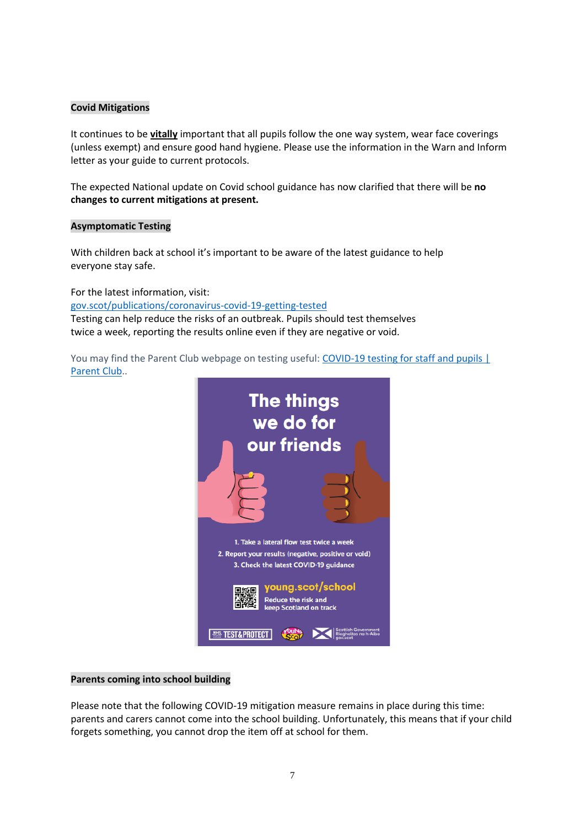## **Covid Mitigations**

It continues to be **vitally** important that all pupils follow the one way system, wear face coverings (unless exempt) and ensure good hand hygiene. Please use the information in the Warn and Inform letter as your guide to current protocols.

The expected National update on Covid school guidance has now clarified that there will be **no changes to current mitigations at present.**

#### **Asymptomatic Testing**

With children back at school it's important to be aware of the latest guidance to help everyone stay safe.

For the latest information, visit:

[gov.scot/publications/coronavirus-covid-19-getting-tested](file://///nb-server1/subjects/Admin/Diane/Weekly%20update/September%202021/gov.scot/publications/coronavirus-covid-19-getting-tested) Testing can help reduce the risks of an outbreak. Pupils should test themselves twice a week, reporting the results online even if they are negative or void.

You may find the Parent Club webpage on testing useful: [COVID-19 testing for staff and pupils |](https://www.parentclub.scot/articles/covid-19-testing-staff-and-pupils)  [Parent Club.](https://www.parentclub.scot/articles/covid-19-testing-staff-and-pupils).



#### **Parents coming into school building**

Please note that the following COVID-19 mitigation measure remains in place during this time: parents and carers cannot come into the school building. Unfortunately, this means that if your child forgets something, you cannot drop the item off at school for them.